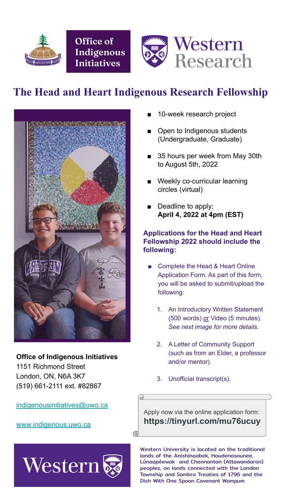

Office of Indigenous **Initiatives** 



# **The Head and Heart Indigenous Research Fellowship**



- 10-week research project
- Open to Indigenous students (Undergraduate, Graduate)
- 35 hours per week from May 30th to August 5th, 2022
- Weekly co-curricular learning circles (virtual)
- Deadline to apply: **April 4, 2022 at 4pm (EST)**

- Complete the Head & Heart Online Application Form. As part of this form, you will be asked to submit/upload the following:
	- 1. An Introductory Written Statement

#### **Applications for the Head and Heart Fellowship 2022 should include the following:**



- 2. A Letter of Community Support (such as from an Elder, a professor and/or mentor).
- 3. Unofficial transcript(s).

#### **Office of Indigenous Initiatives**

1151 Richmond Street London, ON, N6A 3K7 (519) 661-2111 ext. #82867

[indigenousinitiatives@uwo.ca](mailto:indigenousinitiatives@uwo.ca)

[www.indigenous.uwo.ca](http://www.indigenous.uwo.ca/)

Western University is located on the traditional lands of the Anishinaabek, Haudenosaunee, Lūnaapéewak and Chonnonton (Attawandaron) peoples, on lands connected with the London Township and Sombra Treaties of 1796 and the Dish With One Spoon Covenant Wampum.

Apply now via the online application form: **https://tinyurl.com/mu76ucuy**